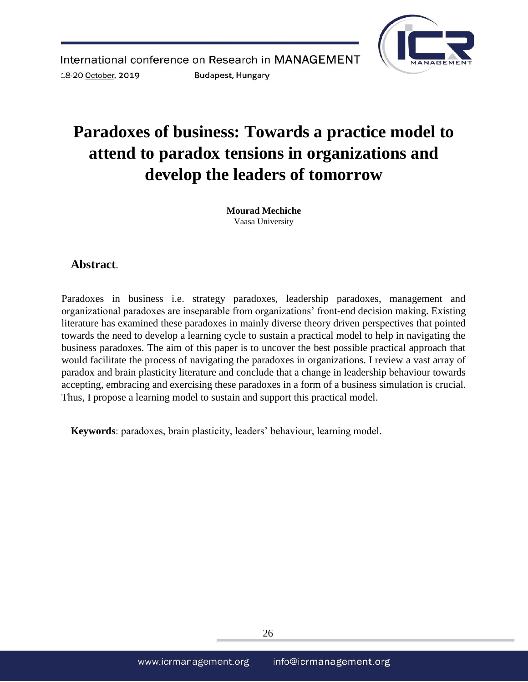

# **Paradoxes of business: Towards a practice model to attend to paradox tensions in organizations and develop the leaders of tomorrow**

**Mourad Mechiche**  Vaasa University

# **Abstract**.

Paradoxes in business i.e. strategy paradoxes, leadership paradoxes, management and organizational paradoxes are inseparable from organizations' front-end decision making. Existing literature has examined these paradoxes in mainly diverse theory driven perspectives that pointed towards the need to develop a learning cycle to sustain a practical model to help in navigating the business paradoxes. The aim of this paper is to uncover the best possible practical approach that would facilitate the process of navigating the paradoxes in organizations. I review a vast array of paradox and brain plasticity literature and conclude that a change in leadership behaviour towards accepting, embracing and exercising these paradoxes in a form of a business simulation is crucial. Thus, I propose a learning model to sustain and support this practical model.

**Keywords**: paradoxes, brain plasticity, leaders' behaviour, learning model*.*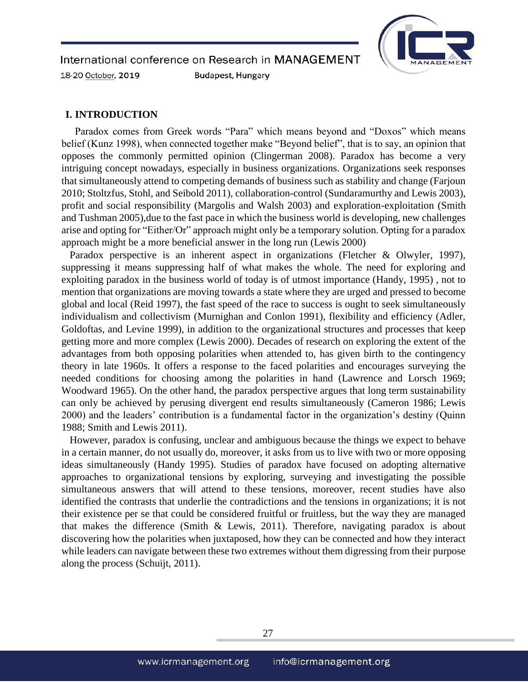

### **I. INTRODUCTION**

 Paradox comes from Greek words "Para" which means beyond and "Doxos" which means belief (Kunz 1998), when connected together make "Beyond belief", that is to say, an opinion that opposes the commonly permitted opinion (Clingerman 2008). Paradox has become a very intriguing concept nowadays, especially in business organizations. Organizations seek responses that simultaneously attend to competing demands of business such as stability and change (Farjoun 2010; Stoltzfus, Stohl, and Seibold 2011), collaboration-control (Sundaramurthy and Lewis 2003), profit and social responsibility (Margolis and Walsh 2003) and exploration-exploitation (Smith and Tushman 2005),due to the fast pace in which the business world is developing, new challenges arise and opting for "Either/Or" approach might only be a temporary solution. Opting for a paradox approach might be a more beneficial answer in the long run (Lewis 2000)

Paradox perspective is an inherent aspect in organizations (Fletcher & Olwyler, 1997), suppressing it means suppressing half of what makes the whole. The need for exploring and exploiting paradox in the business world of today is of utmost importance (Handy, 1995) , not to mention that organizations are moving towards a state where they are urged and pressed to become global and local (Reid 1997), the fast speed of the race to success is ought to seek simultaneously individualism and collectivism (Murnighan and Conlon 1991), flexibility and efficiency (Adler, Goldoftas, and Levine 1999), in addition to the organizational structures and processes that keep getting more and more complex (Lewis 2000). Decades of research on exploring the extent of the advantages from both opposing polarities when attended to, has given birth to the contingency theory in late 1960s. It offers a response to the faced polarities and encourages surveying the needed conditions for choosing among the polarities in hand (Lawrence and Lorsch 1969; Woodward 1965). On the other hand, the paradox perspective argues that long term sustainability can only be achieved by perusing divergent end results simultaneously (Cameron 1986; Lewis 2000) and the leaders' contribution is a fundamental factor in the organization's destiny (Quinn 1988; Smith and Lewis 2011).

However, paradox is confusing, unclear and ambiguous because the things we expect to behave in a certain manner, do not usually do, moreover, it asks from us to live with two or more opposing ideas simultaneously (Handy 1995). Studies of paradox have focused on adopting alternative approaches to organizational tensions by exploring, surveying and investigating the possible simultaneous answers that will attend to these tensions, moreover, recent studies have also identified the contrasts that underlie the contradictions and the tensions in organizations; it is not their existence per se that could be considered fruitful or fruitless, but the way they are managed that makes the difference (Smith  $\&$  Lewis, 2011). Therefore, navigating paradox is about discovering how the polarities when juxtaposed, how they can be connected and how they interact while leaders can navigate between these two extremes without them digressing from their purpose along the process (Schuijt, 2011).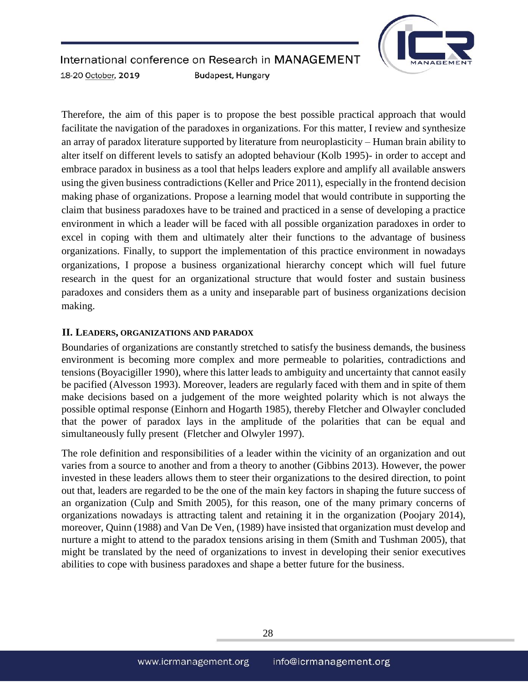

Therefore, the aim of this paper is to propose the best possible practical approach that would facilitate the navigation of the paradoxes in organizations. For this matter, I review and synthesize an array of paradox literature supported by literature from neuroplasticity – Human brain ability to alter itself on different levels to satisfy an adopted behaviour (Kolb 1995)- in order to accept and embrace paradox in business as a tool that helps leaders explore and amplify all available answers using the given business contradictions (Keller and Price 2011), especially in the frontend decision making phase of organizations. Propose a learning model that would contribute in supporting the claim that business paradoxes have to be trained and practiced in a sense of developing a practice environment in which a leader will be faced with all possible organization paradoxes in order to excel in coping with them and ultimately alter their functions to the advantage of business organizations. Finally, to support the implementation of this practice environment in nowadays organizations, I propose a business organizational hierarchy concept which will fuel future research in the quest for an organizational structure that would foster and sustain business paradoxes and considers them as a unity and inseparable part of business organizations decision making.

## **II. LEADERS, ORGANIZATIONS AND PARADOX**

Boundaries of organizations are constantly stretched to satisfy the business demands, the business environment is becoming more complex and more permeable to polarities, contradictions and tensions (Boyacigiller 1990), where this latter leads to ambiguity and uncertainty that cannot easily be pacified (Alvesson 1993). Moreover, leaders are regularly faced with them and in spite of them make decisions based on a judgement of the more weighted polarity which is not always the possible optimal response (Einhorn and Hogarth 1985), thereby Fletcher and Olwayler concluded that the power of paradox lays in the amplitude of the polarities that can be equal and simultaneously fully present (Fletcher and Olwyler 1997).

The role definition and responsibilities of a leader within the vicinity of an organization and out varies from a source to another and from a theory to another (Gibbins 2013). However, the power invested in these leaders allows them to steer their organizations to the desired direction, to point out that, leaders are regarded to be the one of the main key factors in shaping the future success of an organization (Culp and Smith 2005), for this reason, one of the many primary concerns of organizations nowadays is attracting talent and retaining it in the organization (Poojary 2014), moreover, Quinn (1988) and Van De Ven, (1989) have insisted that organization must develop and nurture a might to attend to the paradox tensions arising in them (Smith and Tushman 2005), that might be translated by the need of organizations to invest in developing their senior executives abilities to cope with business paradoxes and shape a better future for the business.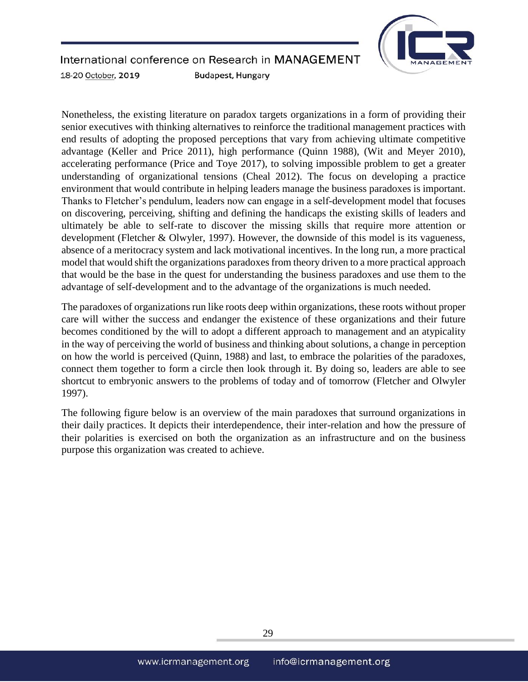

#### International conference on Research in MANAGEMENT **Budapest, Hungary** 18-20 October, 2019

Nonetheless, the existing literature on paradox targets organizations in a form of providing their senior executives with thinking alternatives to reinforce the traditional management practices with end results of adopting the proposed perceptions that vary from achieving ultimate competitive advantage (Keller and Price 2011), high performance (Quinn 1988), (Wit and Meyer 2010), accelerating performance (Price and Toye 2017), to solving impossible problem to get a greater understanding of organizational tensions (Cheal 2012). The focus on developing a practice environment that would contribute in helping leaders manage the business paradoxes is important. Thanks to Fletcher's pendulum, leaders now can engage in a self-development model that focuses on discovering, perceiving, shifting and defining the handicaps the existing skills of leaders and ultimately be able to self-rate to discover the missing skills that require more attention or development (Fletcher & Olwyler, 1997). However, the downside of this model is its vagueness, absence of a meritocracy system and lack motivational incentives. In the long run, a more practical model that would shift the organizations paradoxes from theory driven to a more practical approach that would be the base in the quest for understanding the business paradoxes and use them to the advantage of self-development and to the advantage of the organizations is much needed.

The paradoxes of organizations run like roots deep within organizations, these roots without proper care will wither the success and endanger the existence of these organizations and their future becomes conditioned by the will to adopt a different approach to management and an atypicality in the way of perceiving the world of business and thinking about solutions, a change in perception on how the world is perceived (Quinn, 1988) and last, to embrace the polarities of the paradoxes, connect them together to form a circle then look through it. By doing so, leaders are able to see shortcut to embryonic answers to the problems of today and of tomorrow (Fletcher and Olwyler 1997).

The following figure below is an overview of the main paradoxes that surround organizations in their daily practices. It depicts their interdependence, their inter-relation and how the pressure of their polarities is exercised on both the organization as an infrastructure and on the business purpose this organization was created to achieve.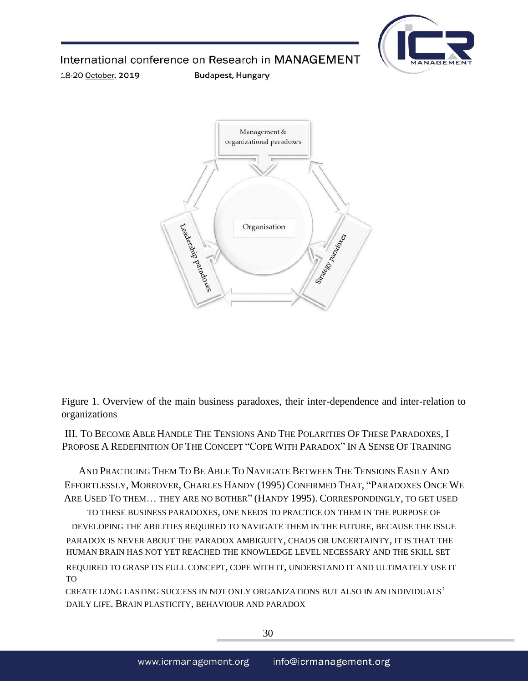

International conference on Research in MANAGEMENT

**Budapest, Hungary** 

18-20 October, 2019



Figure 1. Overview of the main business paradoxes, their inter-dependence and inter-relation to organizations

III. TO BECOME ABLE HANDLE THE TENSIONS AND THE POLARITIES OF THESE PARADOXES, I PROPOSE A REDEFINITION OF THE CONCEPT "COPE WITH PARADOX" IN A SENSE OF TRAINING

AND PRACTICING THEM TO BE ABLE TO NAVIGATE BETWEEN THE TENSIONS EASILY AND EFFORTLESSLY, MOREOVER, CHARLES HANDY (1995) CONFIRMED THAT, "PARADOXES ONCE WE ARE USED TO THEM… THEY ARE NO BOTHER" (HANDY 1995). CORRESPONDINGLY, TO GET USED

TO THESE BUSINESS PARADOXES, ONE NEEDS TO PRACTICE ON THEM IN THE PURPOSE OF DEVELOPING THE ABILITIES REQUIRED TO NAVIGATE THEM IN THE FUTURE, BECAUSE THE ISSUE PARADOX IS NEVER ABOUT THE PARADOX AMBIGUITY, CHAOS OR UNCERTAINTY, IT IS THAT THE HUMAN BRAIN HAS NOT YET REACHED THE KNOWLEDGE LEVEL NECESSARY AND THE SKILL SET

REQUIRED TO GRASP ITS FULL CONCEPT, COPE WITH IT, UNDERSTAND IT AND ULTIMATELY USE IT TO

CREATE LONG LASTING SUCCESS IN NOT ONLY ORGANIZATIONS BUT ALSO IN AN INDIVIDUALS' DAILY LIFE. BRAIN PLASTICITY, BEHAVIOUR AND PARADOX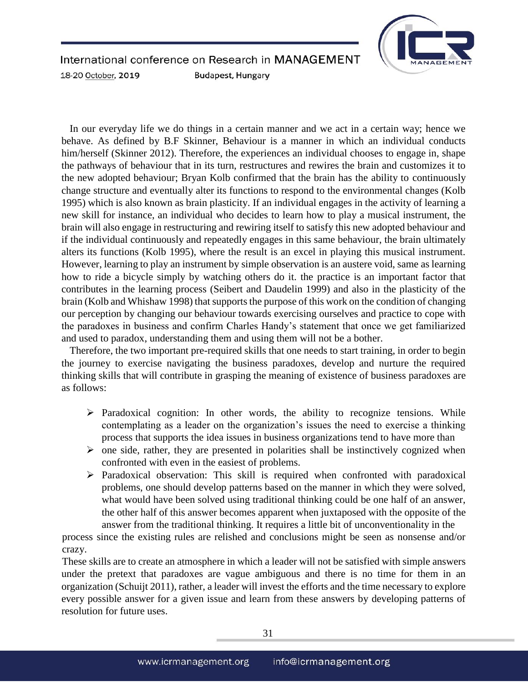

In our everyday life we do things in a certain manner and we act in a certain way; hence we behave. As defined by B.F Skinner, Behaviour is a manner in which an individual conducts him/herself (Skinner 2012). Therefore, the experiences an individual chooses to engage in, shape the pathways of behaviour that in its turn, restructures and rewires the brain and customizes it to the new adopted behaviour; Bryan Kolb confirmed that the brain has the ability to continuously change structure and eventually alter its functions to respond to the environmental changes (Kolb 1995) which is also known as brain plasticity. If an individual engages in the activity of learning a new skill for instance, an individual who decides to learn how to play a musical instrument, the brain will also engage in restructuring and rewiring itself to satisfy this new adopted behaviour and if the individual continuously and repeatedly engages in this same behaviour, the brain ultimately alters its functions (Kolb 1995), where the result is an excel in playing this musical instrument. However, learning to play an instrument by simple observation is an austere void, same as learning how to ride a bicycle simply by watching others do it. the practice is an important factor that contributes in the learning process (Seibert and Daudelin 1999) and also in the plasticity of the brain (Kolb and Whishaw 1998) that supports the purpose of this work on the condition of changing our perception by changing our behaviour towards exercising ourselves and practice to cope with the paradoxes in business and confirm Charles Handy's statement that once we get familiarized and used to paradox, understanding them and using them will not be a bother.

Therefore, the two important pre-required skills that one needs to start training, in order to begin the journey to exercise navigating the business paradoxes, develop and nurture the required thinking skills that will contribute in grasping the meaning of existence of business paradoxes are as follows:

- $\triangleright$  Paradoxical cognition: In other words, the ability to recognize tensions. While contemplating as a leader on the organization's issues the need to exercise a thinking process that supports the idea issues in business organizations tend to have more than
- $\triangleright$  one side, rather, they are presented in polarities shall be instinctively cognized when confronted with even in the easiest of problems.
- Paradoxical observation: This skill is required when confronted with paradoxical problems, one should develop patterns based on the manner in which they were solved, what would have been solved using traditional thinking could be one half of an answer, the other half of this answer becomes apparent when juxtaposed with the opposite of the answer from the traditional thinking. It requires a little bit of unconventionality in the

process since the existing rules are relished and conclusions might be seen as nonsense and/or crazy.

These skills are to create an atmosphere in which a leader will not be satisfied with simple answers under the pretext that paradoxes are vague ambiguous and there is no time for them in an organization (Schuijt 2011), rather, a leader will invest the efforts and the time necessary to explore every possible answer for a given issue and learn from these answers by developing patterns of resolution for future uses.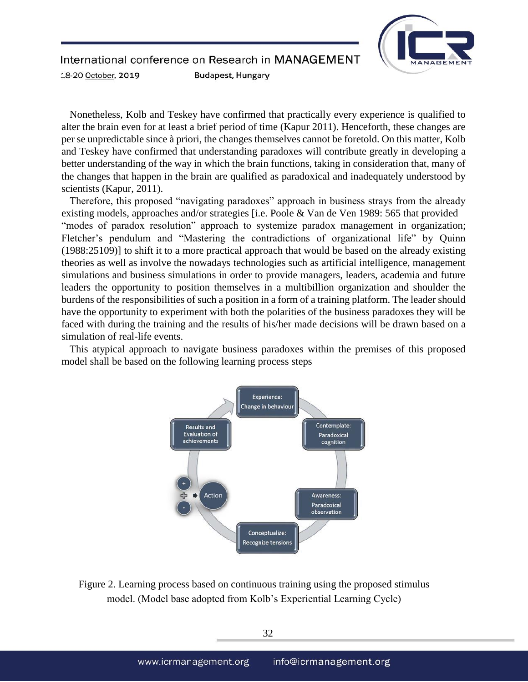

Nonetheless, Kolb and Teskey have confirmed that practically every experience is qualified to alter the brain even for at least a brief period of time (Kapur 2011). Henceforth, these changes are per se unpredictable since à priori, the changes themselves cannot be foretold. On this matter, Kolb and Teskey have confirmed that understanding paradoxes will contribute greatly in developing a better understanding of the way in which the brain functions, taking in consideration that, many of the changes that happen in the brain are qualified as paradoxical and inadequately understood by scientists (Kapur, 2011).

Therefore, this proposed "navigating paradoxes" approach in business strays from the already existing models, approaches and/or strategies [i.e. Poole & Van de Ven 1989: 565 that provided "modes of paradox resolution" approach to systemize paradox management in organization; Fletcher's pendulum and "Mastering the contradictions of organizational life" by Quinn (1988:25109)] to shift it to a more practical approach that would be based on the already existing theories as well as involve the nowadays technologies such as artificial intelligence, management simulations and business simulations in order to provide managers, leaders, academia and future leaders the opportunity to position themselves in a multibillion organization and shoulder the burdens of the responsibilities of such a position in a form of a training platform. The leader should have the opportunity to experiment with both the polarities of the business paradoxes they will be faced with during the training and the results of his/her made decisions will be drawn based on a simulation of real-life events.

This atypical approach to navigate business paradoxes within the premises of this proposed model shall be based on the following learning process steps



Figure 2. Learning process based on continuous training using the proposed stimulus model. (Model base adopted from Kolb's Experiential Learning Cycle)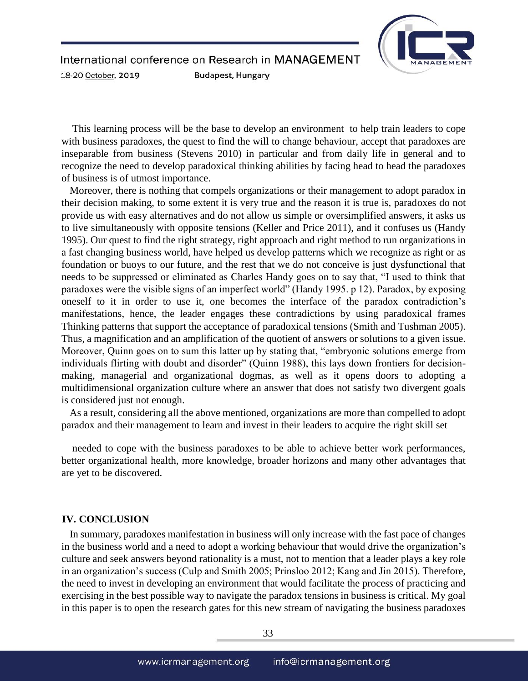

This learning process will be the base to develop an environment to help train leaders to cope with business paradoxes, the quest to find the will to change behaviour, accept that paradoxes are inseparable from business (Stevens 2010) in particular and from daily life in general and to recognize the need to develop paradoxical thinking abilities by facing head to head the paradoxes of business is of utmost importance.

Moreover, there is nothing that compels organizations or their management to adopt paradox in their decision making, to some extent it is very true and the reason it is true is, paradoxes do not provide us with easy alternatives and do not allow us simple or oversimplified answers, it asks us to live simultaneously with opposite tensions (Keller and Price 2011), and it confuses us (Handy 1995). Our quest to find the right strategy, right approach and right method to run organizations in a fast changing business world, have helped us develop patterns which we recognize as right or as foundation or buoys to our future, and the rest that we do not conceive is just dysfunctional that needs to be suppressed or eliminated as Charles Handy goes on to say that, "I used to think that paradoxes were the visible signs of an imperfect world" (Handy 1995. p 12). Paradox, by exposing oneself to it in order to use it, one becomes the interface of the paradox contradiction's manifestations, hence, the leader engages these contradictions by using paradoxical frames Thinking patterns that support the acceptance of paradoxical tensions (Smith and Tushman 2005). Thus, a magnification and an amplification of the quotient of answers or solutions to a given issue. Moreover, Quinn goes on to sum this latter up by stating that, "embryonic solutions emerge from individuals flirting with doubt and disorder" (Quinn 1988), this lays down frontiers for decisionmaking, managerial and organizational dogmas, as well as it opens doors to adopting a multidimensional organization culture where an answer that does not satisfy two divergent goals is considered just not enough.

As a result, considering all the above mentioned, organizations are more than compelled to adopt paradox and their management to learn and invest in their leaders to acquire the right skill set

needed to cope with the business paradoxes to be able to achieve better work performances, better organizational health, more knowledge, broader horizons and many other advantages that are yet to be discovered.

#### **IV. CONCLUSION**

In summary, paradoxes manifestation in business will only increase with the fast pace of changes in the business world and a need to adopt a working behaviour that would drive the organization's culture and seek answers beyond rationality is a must, not to mention that a leader plays a key role in an organization's success (Culp and Smith 2005; Prinsloo 2012; Kang and Jin 2015). Therefore, the need to invest in developing an environment that would facilitate the process of practicing and exercising in the best possible way to navigate the paradox tensions in business is critical. My goal in this paper is to open the research gates for this new stream of navigating the business paradoxes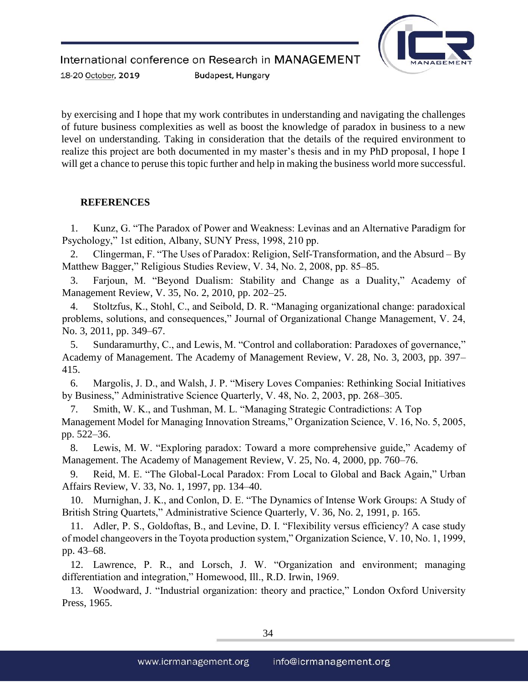

by exercising and I hope that my work contributes in understanding and navigating the challenges of future business complexities as well as boost the knowledge of paradox in business to a new level on understanding. Taking in consideration that the details of the required environment to realize this project are both documented in my master's thesis and in my PhD proposal, I hope I will get a chance to peruse this topic further and help in making the business world more successful.

## **REFERENCES**

1. Kunz, G. "The Paradox of Power and Weakness: Levinas and an Alternative Paradigm for Psychology," 1st edition, Albany, SUNY Press, 1998, 210 pp.

2. Clingerman, F. "The Uses of Paradox: Religion, Self-Transformation, and the Absurd – By Matthew Bagger," Religious Studies Review, V. 34, No. 2, 2008, pp. 85–85.

3. Farjoun, M. "Beyond Dualism: Stability and Change as a Duality," Academy of Management Review, V. 35, No. 2, 2010, pp. 202–25.

4. Stoltzfus, K., Stohl, C., and Seibold, D. R. "Managing organizational change: paradoxical problems, solutions, and consequences," Journal of Organizational Change Management, V. 24, No. 3, 2011, pp. 349–67.

5. Sundaramurthy, C., and Lewis, M. "Control and collaboration: Paradoxes of governance," Academy of Management. The Academy of Management Review, V. 28, No. 3, 2003, pp. 397– 415.

6. Margolis, J. D., and Walsh, J. P. "Misery Loves Companies: Rethinking Social Initiatives by Business," Administrative Science Quarterly, V. 48, No. 2, 2003, pp. 268–305.

7. Smith, W. K., and Tushman, M. L. "Managing Strategic Contradictions: A Top Management Model for Managing Innovation Streams," Organization Science, V. 16, No. 5, 2005, pp. 522–36.

8. Lewis, M. W. "Exploring paradox: Toward a more comprehensive guide," Academy of Management. The Academy of Management Review, V. 25, No. 4, 2000, pp. 760–76.

9. Reid, M. E. "The Global-Local Paradox: From Local to Global and Back Again," Urban Affairs Review, V. 33, No. 1, 1997, pp. 134–40.

10. Murnighan, J. K., and Conlon, D. E. "The Dynamics of Intense Work Groups: A Study of British String Quartets," Administrative Science Quarterly, V. 36, No. 2, 1991, p. 165.

11. Adler, P. S., Goldoftas, B., and Levine, D. I. "Flexibility versus efficiency? A case study of model changeovers in the Toyota production system," Organization Science, V. 10, No. 1, 1999, pp. 43–68.

12. Lawrence, P. R., and Lorsch, J. W. "Organization and environment; managing differentiation and integration," Homewood, Ill., R.D. Irwin, 1969.

13. Woodward, J. "Industrial organization: theory and practice," London Oxford University Press, 1965.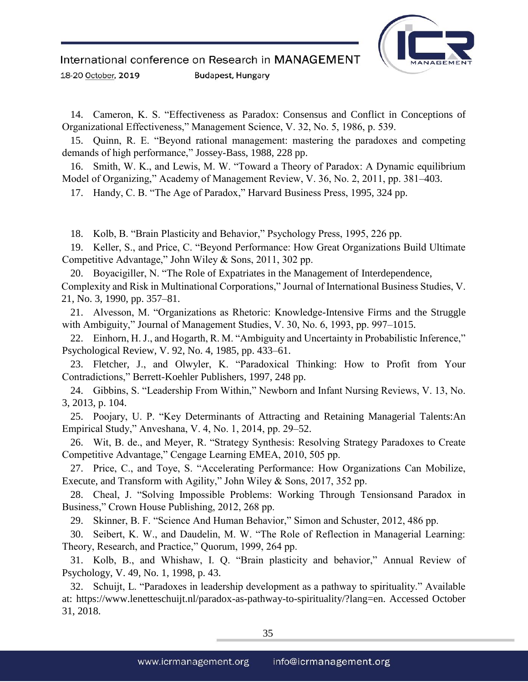14. Cameron, K. S. "Effectiveness as Paradox: Consensus and Conflict in Conceptions of Organizational Effectiveness," Management Science, V. 32, No. 5, 1986, p. 539.

15. Quinn, R. E. "Beyond rational management: mastering the paradoxes and competing demands of high performance," Jossey-Bass, 1988, 228 pp.

16. Smith, W. K., and Lewis, M. W. "Toward a Theory of Paradox: A Dynamic equilibrium Model of Organizing," Academy of Management Review, V. 36, No. 2, 2011, pp. 381–403.

17. Handy, C. B. "The Age of Paradox," Harvard Business Press, 1995, 324 pp.

18. Kolb, B. "Brain Plasticity and Behavior," Psychology Press, 1995, 226 pp.

19. Keller, S., and Price, C. "Beyond Performance: How Great Organizations Build Ultimate Competitive Advantage," John Wiley & Sons, 2011, 302 pp.

20. Boyacigiller, N. "The Role of Expatriates in the Management of Interdependence, Complexity and Risk in Multinational Corporations," Journal of International Business Studies, V. 21, No. 3, 1990, pp. 357–81.

21. Alvesson, M. "Organizations as Rhetoric: Knowledge-Intensive Firms and the Struggle with Ambiguity," Journal of Management Studies, V. 30, No. 6, 1993, pp. 997–1015.

22. Einhorn, H. J., and Hogarth, R. M. "Ambiguity and Uncertainty in Probabilistic Inference," Psychological Review, V. 92, No. 4, 1985, pp. 433–61.

23. Fletcher, J., and Olwyler, K. "Paradoxical Thinking: How to Profit from Your Contradictions," Berrett-Koehler Publishers, 1997, 248 pp.

24. Gibbins, S. "Leadership From Within," Newborn and Infant Nursing Reviews, V. 13, No. 3, 2013, p. 104.

25. Poojary, U. P. "Key Determinants of Attracting and Retaining Managerial Talents:An Empirical Study," Anveshana, V. 4, No. 1, 2014, pp. 29–52.

26. Wit, B. de., and Meyer, R. "Strategy Synthesis: Resolving Strategy Paradoxes to Create Competitive Advantage," Cengage Learning EMEA, 2010, 505 pp.

27. Price, C., and Toye, S. "Accelerating Performance: How Organizations Can Mobilize, Execute, and Transform with Agility," John Wiley & Sons, 2017, 352 pp.

28. Cheal, J. "Solving Impossible Problems: Working Through Tensionsand Paradox in Business," Crown House Publishing, 2012, 268 pp.

29. Skinner, B. F. "Science And Human Behavior," Simon and Schuster, 2012, 486 pp.

30. Seibert, K. W., and Daudelin, M. W. "The Role of Reflection in Managerial Learning: Theory, Research, and Practice," Quorum, 1999, 264 pp.

31. Kolb, B., and Whishaw, I. Q. "Brain plasticity and behavior," Annual Review of Psychology, V. 49, No. 1, 1998, p. 43.

32. Schuijt, L. "Paradoxes in leadership development as a pathway to spirituality." Available at: https://www.lenetteschuijt.nl/paradox-as-pathway-to-spirituality/?lang=en. Accessed October 31, 2018.